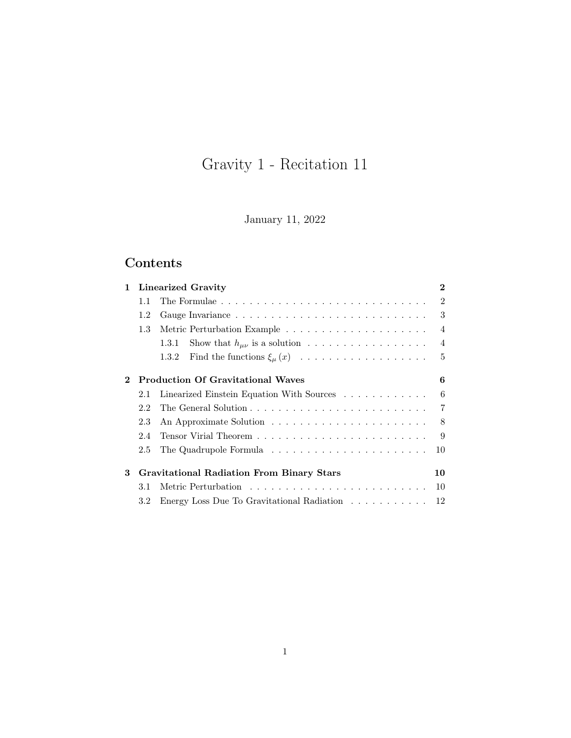# Gravity 1 - Recitation 11

January 11, 2022

## Contents

| $\mathbf{1}$ |     | Linearized Gravity                               | $\bf{2}$       |
|--------------|-----|--------------------------------------------------|----------------|
|              | 1.1 |                                                  | $\mathfrak{D}$ |
|              | 1.2 |                                                  | 3              |
|              | 1.3 |                                                  | $\overline{4}$ |
|              |     | Show that $h_{\mu\nu}$ is a solution<br>1.3.1    | $\overline{4}$ |
|              |     | 1.3.2 Find the functions $\xi_{\mu}(x)$          | $\overline{5}$ |
| 2            |     | <b>Production Of Gravitational Waves</b>         | 6              |
|              | 2.1 | Linearized Einstein Equation With Sources        | 6              |
|              | 2.2 |                                                  | $\overline{7}$ |
|              | 2.3 |                                                  | 8              |
|              | 2.4 |                                                  | 9              |
|              | 2.5 |                                                  | 10             |
| 3            |     | <b>Gravitational Radiation From Binary Stars</b> | 10             |
|              | 3.1 |                                                  | 10             |
|              | 3.2 | Energy Loss Due To Gravitational Radiation       | 12             |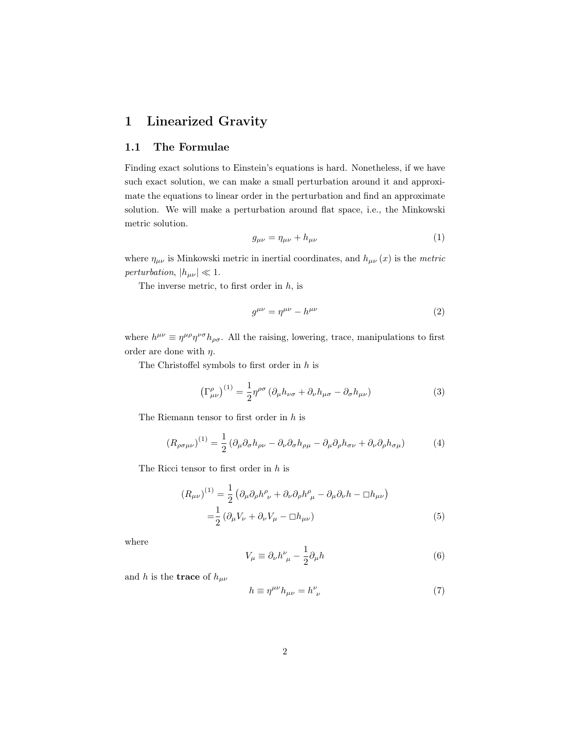## <span id="page-1-0"></span>1 Linearized Gravity

#### <span id="page-1-1"></span>1.1 The Formulae

Finding exact solutions to Einstein's equations is hard. Nonetheless, if we have such exact solution, we can make a small perturbation around it and approximate the equations to linear order in the perturbation and find an approximate solution. We will make a perturbation around flat space, i.e., the Minkowski metric solution.

$$
g_{\mu\nu} = \eta_{\mu\nu} + h_{\mu\nu} \tag{1}
$$

where  $\eta_{\mu\nu}$  is Minkowski metric in inertial coordinates, and  $h_{\mu\nu}(x)$  is the metric perturbation,  $|h_{\mu\nu}| \ll 1$ .

The inverse metric, to first order in  $h$ , is

$$
g^{\mu\nu} = \eta^{\mu\nu} - h^{\mu\nu} \tag{2}
$$

where  $h^{\mu\nu} \equiv \eta^{\mu\rho} \eta^{\nu\sigma} h_{\rho\sigma}$ . All the raising, lowering, trace, manipulations to first order are done with  $\eta$ .

The Christoffel symbols to first order in  $h$  is

$$
\left(\Gamma^{\rho}_{\mu\nu}\right)^{(1)} = \frac{1}{2} \eta^{\rho\sigma} \left(\partial_{\mu} h_{\nu\sigma} + \partial_{\nu} h_{\mu\sigma} - \partial_{\sigma} h_{\mu\nu}\right) \tag{3}
$$

The Riemann tensor to first order in h is

<span id="page-1-2"></span>
$$
(R_{\rho\sigma\mu\nu})^{(1)} = \frac{1}{2} \left( \partial_{\mu}\partial_{\sigma}h_{\rho\nu} - \partial_{\nu}\partial_{\sigma}h_{\rho\mu} - \partial_{\mu}\partial_{\rho}h_{\sigma\nu} + \partial_{\nu}\partial_{\rho}h_{\sigma\mu} \right)
$$
(4)

The Ricci tensor to first order in h is

$$
(R_{\mu\nu})^{(1)} = \frac{1}{2} \left( \partial_{\mu} \partial_{\rho} h^{\rho}_{ \nu} + \partial_{\nu} \partial_{\rho} h^{\rho}_{ \mu} - \partial_{\mu} \partial_{\nu} h - \Box h_{\mu\nu} \right)
$$

$$
= \frac{1}{2} \left( \partial_{\mu} V_{\nu} + \partial_{\nu} V_{\mu} - \Box h_{\mu\nu} \right)
$$
(5)

where

<span id="page-1-4"></span><span id="page-1-3"></span>
$$
V_{\mu} \equiv \partial_{\nu} h^{\nu}_{\ \mu} - \frac{1}{2} \partial_{\mu} h \tag{6}
$$

and h is the **trace** of  $h_{\mu\nu}$ 

$$
h \equiv \eta^{\mu\nu} h_{\mu\nu} = h^{\nu}_{\ \nu} \tag{7}
$$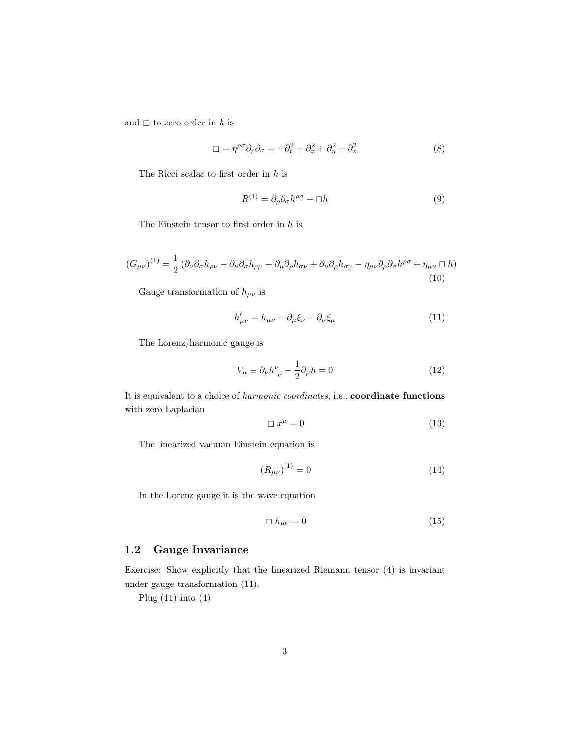and  $\Box$  to zero order in h is

$$
\Box = \eta^{\rho\sigma} \partial_{\rho} \partial_{\sigma} = -\partial_t^2 + \partial_x^2 + \partial_y^2 + \partial_z^2 \tag{8}
$$

The Ricci scalar to first order in  $h$  is

<span id="page-2-4"></span>
$$
R^{(1)} = \partial_{\rho}\partial_{\sigma}h^{\rho\sigma} - \Box h \tag{9}
$$

The Einstein tensor to first order in  $h$  is

$$
(G_{\mu\nu})^{(1)} = \frac{1}{2} \left( \partial_{\mu} \partial_{\sigma} h_{\rho\nu} - \partial_{\nu} \partial_{\sigma} h_{\rho\mu} - \partial_{\mu} \partial_{\rho} h_{\sigma\nu} + \partial_{\nu} \partial_{\rho} h_{\sigma\mu} - \eta_{\mu\nu} \partial_{\rho} \partial_{\sigma} h^{\rho\sigma} + \eta_{\mu\nu} \Box h \right)
$$
\n(10)

Gauge transformation of  $h_{\mu\nu}$  is

<span id="page-2-1"></span>
$$
h'_{\mu\nu} = h_{\mu\nu} - \partial_{\mu}\xi_{\nu} - \partial_{\nu}\xi_{\mu}
$$
\n(11)

The Lorenz/harmonic gauge is

<span id="page-2-3"></span>
$$
V_{\mu} \equiv \partial_{\nu} h^{\nu}_{\ \mu} - \frac{1}{2} \partial_{\mu} h = 0 \tag{12}
$$

It is equivalent to a choice of harmonic coordinates, i.e., coordinate functions with zero Laplacian

$$
\Box x^{\mu} = 0 \tag{13}
$$

The linearized vacuum Einstein equation is

<span id="page-2-2"></span>
$$
(R_{\mu\nu})^{(1)} = 0 \tag{14}
$$

In the Lorenz gauge it is the wave equation

<span id="page-2-5"></span>
$$
\Box h_{\mu\nu} = 0 \tag{15}
$$

#### <span id="page-2-0"></span>1.2 Gauge Invariance

Exercise: Show explicitly that the linearized Riemann tensor [\(4\)](#page-1-2) is invariant under gauge transformation [\(11\)](#page-2-1).

Plug  $(11)$  into  $(4)$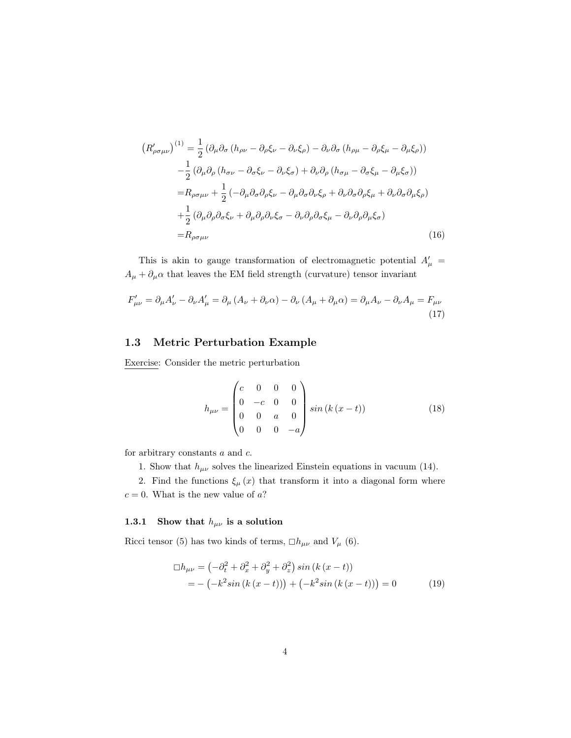$$
(R'_{\rho\sigma\mu\nu})^{(1)} = \frac{1}{2} (\partial_{\mu}\partial_{\sigma} (h_{\rho\nu} - \partial_{\rho}\xi_{\nu} - \partial_{\nu}\xi_{\rho}) - \partial_{\nu}\partial_{\sigma} (h_{\rho\mu} - \partial_{\rho}\xi_{\mu} - \partial_{\mu}\xi_{\rho}))
$$
  

$$
- \frac{1}{2} (\partial_{\mu}\partial_{\rho} (h_{\sigma\nu} - \partial_{\sigma}\xi_{\nu} - \partial_{\nu}\xi_{\sigma}) + \partial_{\nu}\partial_{\rho} (h_{\sigma\mu} - \partial_{\sigma}\xi_{\mu} - \partial_{\mu}\xi_{\sigma}))
$$
  

$$
= R_{\rho\sigma\mu\nu} + \frac{1}{2} (-\partial_{\mu}\partial_{\sigma}\partial_{\rho}\xi_{\nu} - \partial_{\mu}\partial_{\sigma}\partial_{\nu}\xi_{\rho} + \partial_{\nu}\partial_{\sigma}\partial_{\rho}\xi_{\mu} + \partial_{\nu}\partial_{\sigma}\partial_{\mu}\xi_{\rho})
$$
  

$$
+ \frac{1}{2} (\partial_{\mu}\partial_{\rho}\partial_{\sigma}\xi_{\nu} + \partial_{\mu}\partial_{\rho}\partial_{\nu}\xi_{\sigma} - \partial_{\nu}\partial_{\rho}\partial_{\sigma}\xi_{\mu} - \partial_{\nu}\partial_{\rho}\partial_{\mu}\xi_{\sigma})
$$
  

$$
= R_{\rho\sigma\mu\nu}
$$
 (16)

This is akin to gauge transformation of electromagnetic potential  $A'_\mu$  =  $A_{\mu}+\partial_{\mu}\alpha$  that leaves the EM field strength (curvature) tensor invariant

$$
F'_{\mu\nu} = \partial_{\mu}A'_{\nu} - \partial_{\nu}A'_{\mu} = \partial_{\mu}(A_{\nu} + \partial_{\nu}\alpha) - \partial_{\nu}(A_{\mu} + \partial_{\mu}\alpha) = \partial_{\mu}A_{\nu} - \partial_{\nu}A_{\mu} = F_{\mu\nu}
$$
\n(17)

#### <span id="page-3-0"></span>1.3 Metric Perturbation Example

Exercise: Consider the metric perturbation

$$
h_{\mu\nu} = \begin{pmatrix} c & 0 & 0 & 0 \\ 0 & -c & 0 & 0 \\ 0 & 0 & a & 0 \\ 0 & 0 & 0 & -a \end{pmatrix} \sin(k(x - t)) \tag{18}
$$

for arbitrary constants a and c.

1. Show that  $h_{\mu\nu}$  solves the linearized Einstein equations in vacuum [\(14\)](#page-2-2).

2. Find the functions  $\xi_{\mu}(x)$  that transform it into a diagonal form where  $c = 0$ . What is the new value of  $a$ ?

#### <span id="page-3-1"></span>1.3.1 Show that  $h_{\mu\nu}$  is a solution

Ricci tensor [\(5\)](#page-1-3) has two kinds of terms,  $\Box h_{\mu\nu}$  and  $V_{\mu}$  [\(6\)](#page-1-4).

$$
\Box h_{\mu\nu} = \left( -\partial_t^2 + \partial_x^2 + \partial_y^2 + \partial_z^2 \right) \sin \left( k \left( x - t \right) \right) \n= - \left( -k^2 \sin \left( k \left( x - t \right) \right) \right) + \left( -k^2 \sin \left( k \left( x - t \right) \right) \right) = 0
$$
\n(19)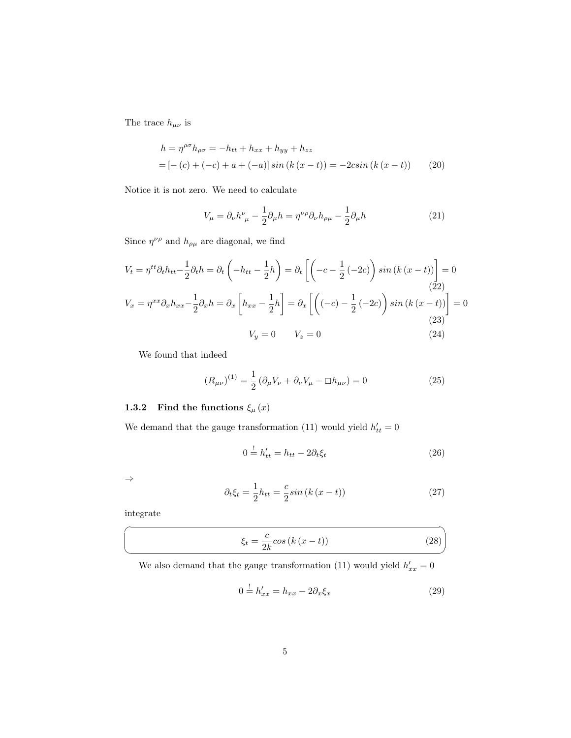The trace  $h_{\mu\nu}$  is

$$
h = \eta^{\rho\sigma} h_{\rho\sigma} = -h_{tt} + h_{xx} + h_{yy} + h_{zz}
$$
  
=  $[- (c) + (-c) + a + (-a)] \sin (k (x - t)) = -2 \sin (k (x - t))$  (20)

Notice it is not zero. We need to calculate

$$
V_{\mu} = \partial_{\nu}h^{\nu}_{\ \mu} - \frac{1}{2}\partial_{\mu}h = \eta^{\nu\rho}\partial_{\nu}h_{\rho\mu} - \frac{1}{2}\partial_{\mu}h\tag{21}
$$

Since  $\eta^{\nu\rho}$  and  $h_{\rho\mu}$  are diagonal, we find

$$
V_t = \eta^{tt} \partial_t h_{tt} - \frac{1}{2} \partial_t h = \partial_t \left( -h_{tt} - \frac{1}{2} h \right) = \partial_t \left[ \left( -c - \frac{1}{2} \left( -2c \right) \right) \sin \left( k \left( x - t \right) \right) \right] = 0
$$
\n
$$
V_x = \eta^{xx} \partial_x h_{xx} - \frac{1}{2} \partial_x h = \partial_x \left[ h_{xx} - \frac{1}{2} h \right] = \partial_x \left[ \left( \left( -c \right) - \frac{1}{2} \left( -2c \right) \right) \sin \left( k \left( x - t \right) \right) \right] = 0
$$
\n
$$
V_y = 0 \qquad V_z = 0
$$
\n(24)

We found that indeed

$$
(R_{\mu\nu})^{(1)} = \frac{1}{2} \left( \partial_{\mu} V_{\nu} + \partial_{\nu} V_{\mu} - \Box h_{\mu\nu} \right) = 0 \tag{25}
$$

## <span id="page-4-0"></span>1.3.2 Find the functions  $\xi_{\mu}(x)$

We demand that the gauge transformation [\(11\)](#page-2-1) would yield  $h'_{tt} = 0$ 

$$
0 \stackrel{!}{=} h'_{tt} = h_{tt} - 2\partial_t \xi_t \tag{26}
$$

⇒

☛

 $\searrow$ 

$$
\partial_t \xi_t = \frac{1}{2} h_{tt} = \frac{c}{2} \sin \left( k \left( x - t \right) \right) \tag{27}
$$

integrate

$$
\xi_t = \frac{c}{2k} \cos\left(k\left(x - t\right)\right) \tag{28}
$$

We also demand that the gauge transformation [\(11\)](#page-2-1) would yield  $h'_{xx} = 0$ 

$$
0 \stackrel{!}{=} h'_{xx} = h_{xx} - 2\partial_x \xi_x \tag{29}
$$

✠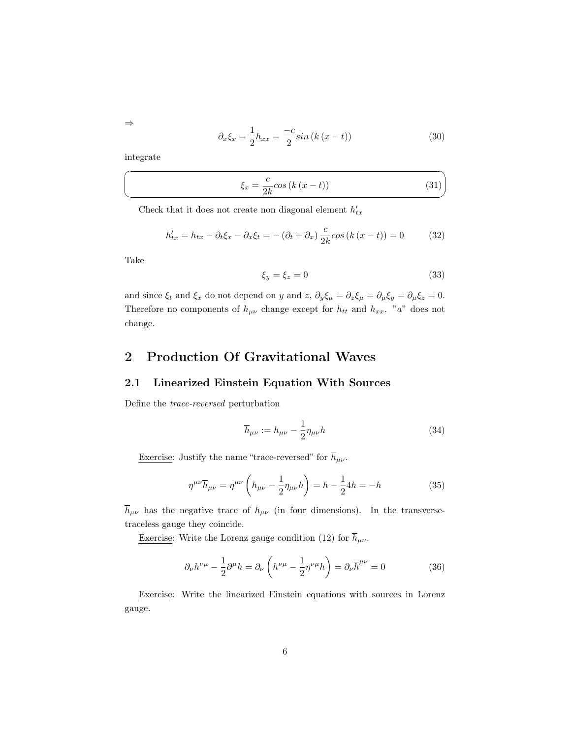$$
\partial_x \xi_x = \frac{1}{2} h_{xx} = \frac{-c}{2} \sin \left( k \left( x - t \right) \right) \tag{30}
$$

integrate

☛

 $\searrow$ 

$$
\xi_x = \frac{c}{2k} \cos\left(k\left(x - t\right)\right) \tag{31}
$$

✟

✠

Check that it does not create non diagonal element  $h_{tx}^\prime$ 

$$
h'_{tx} = h_{tx} - \partial_t \xi_x - \partial_x \xi_t = -(\partial_t + \partial_x) \frac{c}{2k} \cos(k(x - t)) = 0 \tag{32}
$$

Take

$$
\xi_y = \xi_z = 0\tag{33}
$$

and since  $\xi_t$  and  $\xi_x$  do not depend on y and z,  $\partial_y \xi_\mu = \partial_z \xi_\mu = \partial_\mu \xi_y = \partial_\mu \xi_z = 0$ . Therefore no components of  $h_{\mu\nu}$  change except for  $h_{tt}$  and  $h_{xx}$ . "a" does not change.

### <span id="page-5-0"></span>2 Production Of Gravitational Waves

#### <span id="page-5-1"></span>2.1 Linearized Einstein Equation With Sources

Define the trace-reversed perturbation

$$
\overline{h}_{\mu\nu} := h_{\mu\nu} - \frac{1}{2} \eta_{\mu\nu} h \tag{34}
$$

<u>Exercise</u>: Justify the name "trace-reversed" for  $\overline{h}_{\mu\nu}.$ 

$$
\eta^{\mu\nu}\overline{h}_{\mu\nu} = \eta^{\mu\nu} \left( h_{\mu\nu} - \frac{1}{2} \eta_{\mu\nu} h \right) = h - \frac{1}{2} 4h = -h \tag{35}
$$

 $\overline{h}_{\mu\nu}$  has the negative trace of  $h_{\mu\nu}$  (in four dimensions). In the transversetraceless gauge they coincide.

<u>Exercise</u>: Write the Lorenz gauge condition [\(12\)](#page-2-3) for  $\overline{h}_{\mu\nu}.$ 

$$
\partial_{\nu}h^{\nu\mu} - \frac{1}{2}\partial^{\mu}h = \partial_{\nu}\left(h^{\nu\mu} - \frac{1}{2}\eta^{\nu\mu}h\right) = \partial_{\nu}\overline{h}^{\mu\nu} = 0
$$
 (36)

Exercise: Write the linearized Einstein equations with sources in Lorenz gauge.

⇒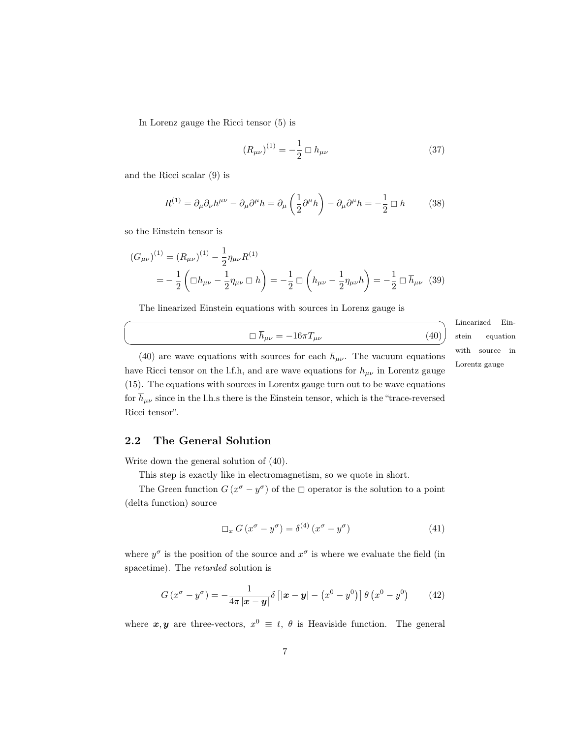In Lorenz gauge the Ricci tensor [\(5\)](#page-1-3) is

$$
(R_{\mu\nu})^{(1)} = -\frac{1}{2} \Box h_{\mu\nu} \tag{37}
$$

and the Ricci scalar [\(9\)](#page-2-4) is

$$
R^{(1)} = \partial_{\mu}\partial_{\nu}h^{\mu\nu} - \partial_{\mu}\partial^{\mu}h = \partial_{\mu}\left(\frac{1}{2}\partial^{\mu}h\right) - \partial_{\mu}\partial^{\mu}h = -\frac{1}{2} \Box h \tag{38}
$$

so the Einstein tensor is

☛

 $\searrow$ 

$$
(G_{\mu\nu})^{(1)} = (R_{\mu\nu})^{(1)} - \frac{1}{2}\eta_{\mu\nu}R^{(1)}
$$
  
= 
$$
-\frac{1}{2}\left(\Box h_{\mu\nu} - \frac{1}{2}\eta_{\mu\nu}\Box h\right) = -\frac{1}{2}\Box\left(h_{\mu\nu} - \frac{1}{2}\eta_{\mu\nu}h\right) = -\frac{1}{2}\Box\overline{h}_{\mu\nu}
$$
(39)

The linearized Einstein equations with sources in Lorenz gauge is

<span id="page-6-1"></span>
$$
\Box \overline{h}_{\mu\nu} = -16\pi T_{\mu\nu} \tag{40}
$$

Linearized Einstein equation with source in Lorentz gauge

[\(40\)](#page-6-1) are wave equations with sources for each  $\bar{h}_{\mu\nu}$ . The vacuum equations have Ricci tensor on the l.f.h, and are wave equations for  $h_{\mu\nu}$  in Lorentz gauge [\(15\)](#page-2-5). The equations with sources in Lorentz gauge turn out to be wave equations for  $\overline{h}_{\mu\nu}$  since in the l.h.s there is the Einstein tensor, which is the "trace-reversed" Ricci tensor".

#### <span id="page-6-0"></span>2.2 The General Solution

Write down the general solution of [\(40\)](#page-6-1).

This step is exactly like in electromagnetism, so we quote in short.

The Green function  $G(x^{\sigma}-y^{\sigma})$  of the  $\Box$  operator is the solution to a point (delta function) source

<span id="page-6-2"></span>
$$
\Box_x G (x^{\sigma} - y^{\sigma}) = \delta^{(4)} (x^{\sigma} - y^{\sigma})
$$
\n(41)

where  $y^{\sigma}$  is the position of the source and  $x^{\sigma}$  is where we evaluate the field (in spacetime). The retarded solution is

<span id="page-6-3"></span>
$$
G\left(x^{\sigma}-y^{\sigma}\right)=-\frac{1}{4\pi\left|\boldsymbol{x}-\boldsymbol{y}\right|}\delta\left[\left|\boldsymbol{x}-\boldsymbol{y}\right|-\left(x^{0}-y^{0}\right)\right]\theta\left(x^{0}-y^{0}\right) \tag{42}
$$

where  $x, y$  are three-vectors,  $x^0 \equiv t, \theta$  is Heaviside function. The general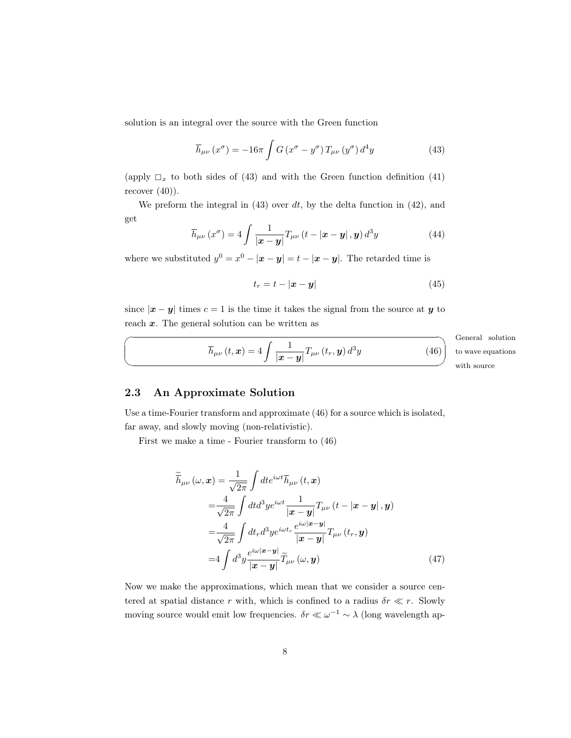solution is an integral over the source with the Green function

<span id="page-7-1"></span>
$$
\overline{h}_{\mu\nu}(x^{\sigma}) = -16\pi \int G(x^{\sigma} - y^{\sigma}) T_{\mu\nu}(y^{\sigma}) d^4y \qquad (43)
$$

(apply  $\Box_x$  to both sides of [\(43\)](#page-7-1) and with the Green function definition [\(41\)](#page-6-2) recover  $(40)$ ).

We preform the integral in  $(43)$  over dt, by the delta function in  $(42)$ , and get

$$
\overline{h}_{\mu\nu}\left(x^{\sigma}\right) = 4 \int \frac{1}{\left|\mathbf{x} - \mathbf{y}\right|} T_{\mu\nu}\left(t - \left|\mathbf{x} - \mathbf{y}\right|, \mathbf{y}\right) d^3 y \tag{44}
$$

where we substituted  $y^0 = x^0 - |\mathbf{x} - \mathbf{y}| = t - |\mathbf{x} - \mathbf{y}|$ . The retarded time is

$$
t_r = t - |\mathbf{x} - \mathbf{y}| \tag{45}
$$

since  $|x - y|$  times  $c = 1$  is the time it takes the signal from the source at y to reach  $x$ . The general solution can be written as

<span id="page-7-2"></span>
$$
\overline{h}_{\mu\nu}\left(t,\boldsymbol{x}\right)=4\int\frac{1}{\left|\boldsymbol{x}-\boldsymbol{y}\right|}T_{\mu\nu}\left(t_{r},\boldsymbol{y}\right)d^{3}y
$$

General solution with source to wave equations

 $(46)$ 

#### <span id="page-7-0"></span>2.3 An Approximate Solution

 $\overline{\phantom{0}}$ 

✍

Use a time-Fourier transform and approximate [\(46\)](#page-7-2) for a source which is isolated, far away, and slowly moving (non-relativistic).

First we make a time - Fourier transform to [\(46\)](#page-7-2)

$$
\widetilde{\overline{h}}_{\mu\nu}(\omega, \mathbf{x}) = \frac{1}{\sqrt{2\pi}} \int dt e^{i\omega t} \overline{h}_{\mu\nu}(t, \mathbf{x})
$$
\n
$$
= \frac{4}{\sqrt{2\pi}} \int dt d^3 y e^{i\omega t} \frac{1}{|\mathbf{x} - \mathbf{y}|} T_{\mu\nu} (t - |\mathbf{x} - \mathbf{y}|, \mathbf{y})
$$
\n
$$
= \frac{4}{\sqrt{2\pi}} \int dt_r d^3 y e^{i\omega t_r} \frac{e^{i\omega |\mathbf{x} - \mathbf{y}|}}{|\mathbf{x} - \mathbf{y}|} T_{\mu\nu} (t_r, \mathbf{y})
$$
\n
$$
= 4 \int d^3 y \frac{e^{i\omega |\mathbf{x} - \mathbf{y}|}}{|\mathbf{x} - \mathbf{y}|} \widetilde{T}_{\mu\nu} (\omega, \mathbf{y}) \tag{47}
$$

Now we make the approximations, which mean that we consider a source centered at spatial distance r with, which is confined to a radius  $\delta r \ll r$ . Slowly moving source would emit low frequencies.  $\delta r \ll \omega^{-1} \sim \lambda$  (long wavelength ap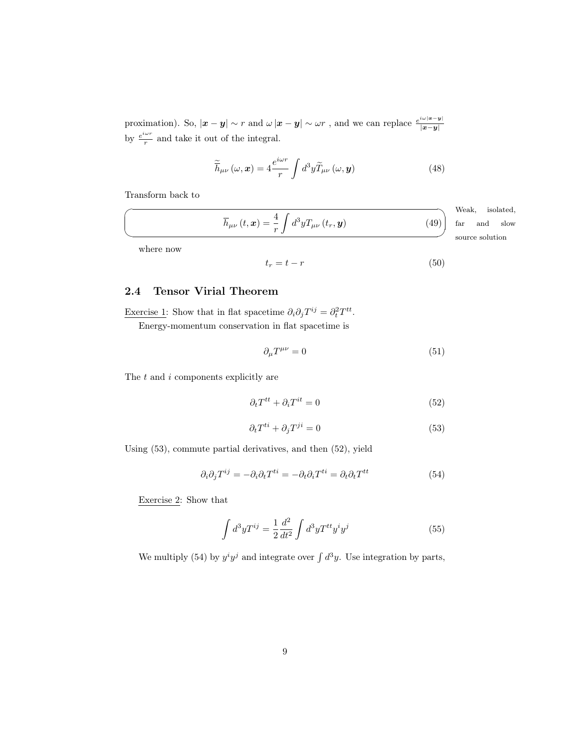proximation). So,  $|x-y| \sim r$  and  $\omega |x-y| \sim \omega r$  , and we can replace  $\frac{e^{i\omega |x-y|}}{|x-y|}$  $\lim_{i \omega r}$   $\lim_{n \to \infty} |x - y| \sim r$  and  $\omega |x - y| \sim \omega r$ , and we can replace  $|x-y|$ by  $\frac{e^{i\omega r}}{r}$  and take it out of the integral.

$$
\widetilde{\overline{h}}_{\mu\nu}(\omega,\boldsymbol{x}) = 4 \frac{e^{i\omega r}}{r} \int d^3 y \widetilde{T}_{\mu\nu}(\omega,\boldsymbol{y}) \tag{48}
$$

Transform back to

 $\sqrt{2}$ 

✍

<span id="page-8-4"></span>
$$
\overline{h}_{\mu\nu}\left(t,\boldsymbol{x}\right)=\frac{4}{r}\int d^{3}yT_{\mu\nu}\left(t_{r},\boldsymbol{y}\right)
$$

Weak, source solution isolated, far and slow

 $(49)$ 

where now

$$
t_r = t - r \tag{50}
$$

#### <span id="page-8-0"></span>2.4 Tensor Virial Theorem

Exercise 1: Show that in flat spacetime  $\partial_i \partial_j T^{ij} = \partial_t^2 T^{tt}$ .

Energy-momentum conservation in flat spacetime is

$$
\partial_{\mu}T^{\mu\nu} = 0 \tag{51}
$$

The  $t$  and  $i$  components explicitly are

<span id="page-8-2"></span>
$$
\partial_t T^{tt} + \partial_i T^{it} = 0 \tag{52}
$$

<span id="page-8-1"></span>
$$
\partial_t T^{ti} + \partial_j T^{ji} = 0 \tag{53}
$$

Using [\(53\)](#page-8-1), commute partial derivatives, and then [\(52\)](#page-8-2), yield

<span id="page-8-3"></span>
$$
\partial_i \partial_j T^{ij} = -\partial_i \partial_t T^{ti} = -\partial_t \partial_i T^{ti} = \partial_t \partial_t T^{tt} \tag{54}
$$

Exercise 2: Show that

$$
\int d^3y T^{ij} = \frac{1}{2} \frac{d^2}{dt^2} \int d^3y T^{tt} y^i y^j \tag{55}
$$

We multiply [\(54\)](#page-8-3) by  $y^i y^j$  and integrate over  $\int d^3y$ . Use integration by parts,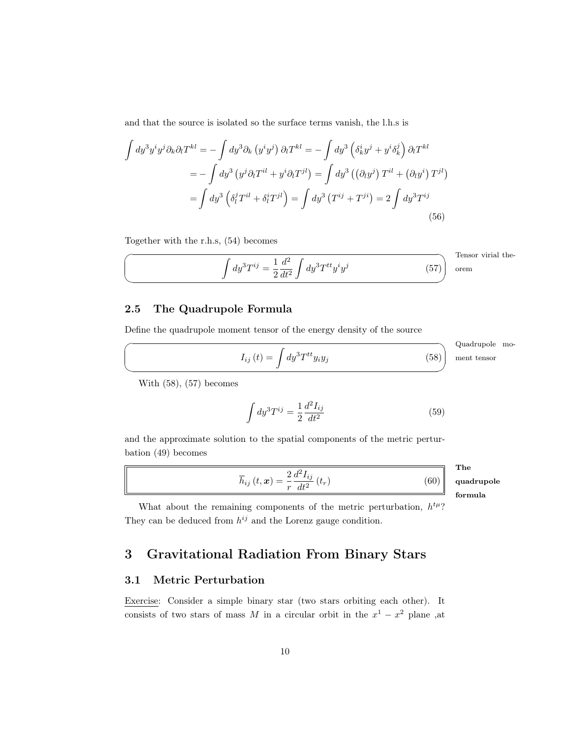and that the source is isolated so the surface terms vanish, the l.h.s is

$$
\int dy^3 y^i y^j \partial_k \partial_l T^{kl} = -\int dy^3 \partial_k (y^i y^j) \partial_l T^{kl} = -\int dy^3 \left(\delta^i_k y^j + y^i \delta^j_k\right) \partial_l T^{kl}
$$

$$
= -\int dy^3 (y^j \partial_l T^{il} + y^i \partial_l T^{jl}) = \int dy^3 \left((\partial_l y^j) T^{il} + (\partial_l y^i) T^{jl}\right)
$$

$$
= \int dy^3 \left(\delta^j_l T^{il} + \delta^i_l T^{jl}\right) = \int dy^3 (T^{ij} + T^{ji}) = 2 \int dy^3 T^{ij}
$$
(56)

Together with the r.h.s, [\(54\)](#page-8-3) becomes

 $\sqrt{2}$ 

✍

 $\sqrt{2}$ 

✍

<span id="page-9-4"></span>
$$
\int dy^3 T^{ij} = \frac{1}{2} \frac{d^2}{dt^2} \int dy^3 T^{tt} y^i y^j \tag{57}
$$

Tensor virial theorem

#### <span id="page-9-0"></span>2.5 The Quadrupole Formula

Define the quadrupole moment tensor of the energy density of the source

<span id="page-9-3"></span>
$$
I_{ij}(t) = \int dy^3 T^{tt} y_i y_j
$$

☞ Quadrupole moment tensor

 $(58)$ 

 $(60)$ 

With [\(58\)](#page-9-3), [\(57\)](#page-9-4) becomes

$$
\int dy^3 T^{ij} = \frac{1}{2} \frac{d^2 I_{ij}}{dt^2}
$$
\n(59)

and the approximate solution to the spatial components of the metric perturbation [\(49\)](#page-8-4) becomes

<span id="page-9-5"></span>
$$
\overline{h}_{ij}\left( t,\boldsymbol{x}\right) =\frac{2}{r}\frac{d^{2}I_{ij}}{dt^{2}}\left( t_{r}\right)
$$

The quadrupole formula

What about the remaining components of the metric perturbation,  $h^{t\mu}$ ? They can be deduced from  $h^{ij}$  and the Lorenz gauge condition.

## <span id="page-9-1"></span>3 Gravitational Radiation From Binary Stars

#### <span id="page-9-2"></span>3.1 Metric Perturbation

Exercise: Consider a simple binary star (two stars orbiting each other). It consists of two stars of mass M in a circular orbit in the  $x^1 - x^2$  plane, at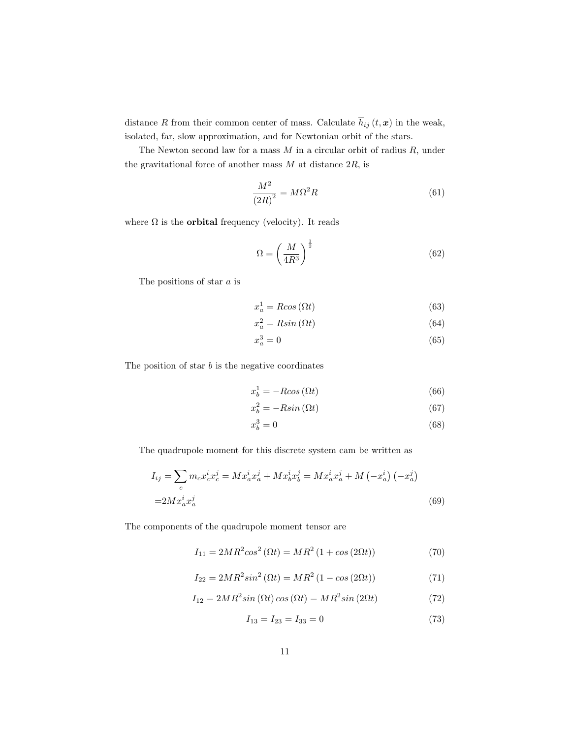distance R from their common center of mass. Calculate  $\overline{h}_{ij}(t, x)$  in the weak, isolated, far, slow approximation, and for Newtonian orbit of the stars.

The Newton second law for a mass  $M$  in a circular orbit of radius  $R$ , under the gravitational force of another mass  $M$  at distance  $2R$ , is

$$
\frac{M^2}{\left(2R\right)^2} = M\Omega^2 R\tag{61}
$$

where  $\Omega$  is the **orbital** frequency (velocity). It reads

<span id="page-10-4"></span>
$$
\Omega = \left(\frac{M}{4R^3}\right)^{\frac{1}{2}}\tag{62}
$$

The positions of star  $a$  is

$$
x_a^1 = R\cos\left(\Omega t\right) \tag{63}
$$

$$
x_a^2 = R\sin\left(\Omega t\right) \tag{64}
$$

$$
x_a^3 = 0\tag{65}
$$

The position of star  $b$  is the negative coordinates

$$
x_b^1 = -R\cos\left(\Omega t\right) \tag{66}
$$

$$
x_b^2 = -R\sin\left(\Omega t\right) \tag{67}
$$

$$
x_b^3 = 0\tag{68}
$$

The quadrupole moment for this discrete system cam be written as

$$
I_{ij} = \sum_{c} m_{c} x_{c}^{i} x_{c}^{j} = M x_{a}^{i} x_{a}^{j} + M x_{b}^{i} x_{b}^{j} = M x_{a}^{i} x_{a}^{j} + M (-x_{a}^{i}) (-x_{a}^{j})
$$
  
=2 $M x_{a}^{i} x_{a}^{j}$  (69)

The components of the quadrupole moment tensor are

<span id="page-10-0"></span>
$$
I_{11} = 2MR^{2}\cos^{2}{(\Omega t)} = MR^{2}(1 + \cos{(2\Omega t)})
$$
\n(70)

<span id="page-10-1"></span>
$$
I_{22} = 2MR^2 \sin^2(\Omega t) = MR^2 (1 - \cos(2\Omega t))
$$
\n(71)

<span id="page-10-2"></span>
$$
I_{12} = 2MR^2 \sin(\Omega t) \cos(\Omega t) = MR^2 \sin(2\Omega t)
$$
\n(72)

<span id="page-10-3"></span>
$$
I_{13} = I_{23} = I_{33} = 0 \tag{73}
$$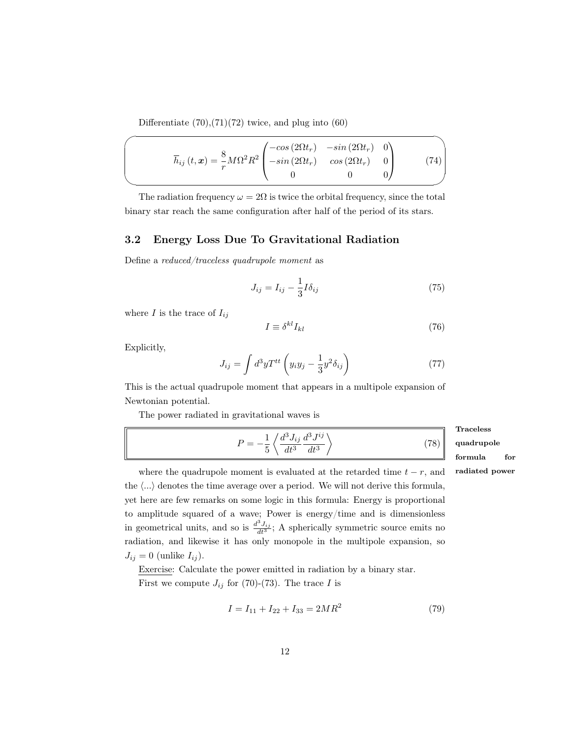Differentiate  $(70),(71)(72)$  $(70),(71)(72)$  $(70),(71)(72)$  $(70),(71)(72)$  twice, and plug into  $(60)$ 

$$
\overline{h}_{ij}(t,\mathbf{x}) = \frac{8}{r} M\Omega^2 R^2 \begin{pmatrix} -\cos(2\Omega t_r) & -\sin(2\Omega t_r) & 0\\ -\sin(2\Omega t_r) & \cos(2\Omega t_r) & 0\\ 0 & 0 & 0 \end{pmatrix}
$$
(74)

The radiation frequency  $\omega = 2\Omega$  is twice the orbital frequency, since the total binary star reach the same configuration after half of the period of its stars.

#### <span id="page-11-0"></span>3.2 Energy Loss Due To Gravitational Radiation

Define a reduced/traceless quadrupole moment as

<span id="page-11-1"></span>
$$
J_{ij} = I_{ij} - \frac{1}{3}I\delta_{ij}
$$
\n(75)

where  $I$  is the trace of  $I_{ij}$ 

$$
I \equiv \delta^{kl} I_{kl} \tag{76}
$$

Explicitly,

$$
J_{ij} = \int d^3y T^{tt} \left( y_i y_j - \frac{1}{3} y^2 \delta_{ij} \right) \tag{77}
$$

This is the actual quadrupole moment that appears in a multipole expansion of Newtonian potential.

The power radiated in gravitational waves is

<span id="page-11-2"></span>
$$
P = -\frac{1}{5} \left\langle \frac{d^3 J_{ij}}{dt^3} \frac{d^3 J^{ij}}{dt^3} \right\rangle \tag{78}
$$

Traceless quadrupole formula for

where the quadrupole moment is evaluated at the retarded time  $t - r$ , and radiated power the  $\langle \ldots \rangle$  denotes the time average over a period. We will not derive this formula, yet here are few remarks on some logic in this formula: Energy is proportional to amplitude squared of a wave; Power is energy/time and is dimensionless in geometrical units, and so is  $\frac{d^3 J_{ij}}{dt^3}$ ; A spherically symmetric source emits no radiation, and likewise it has only monopole in the multipole expansion, so  $J_{ij} = 0$  (unlike  $I_{ij}$ ).

Exercise: Calculate the power emitted in radiation by a binary star. First we compute  $J_{ij}$  for [\(70\)](#page-10-0)-[\(73\)](#page-10-3). The trace I is

$$
I = I_{11} + I_{22} + I_{33} = 2MR^2 \tag{79}
$$